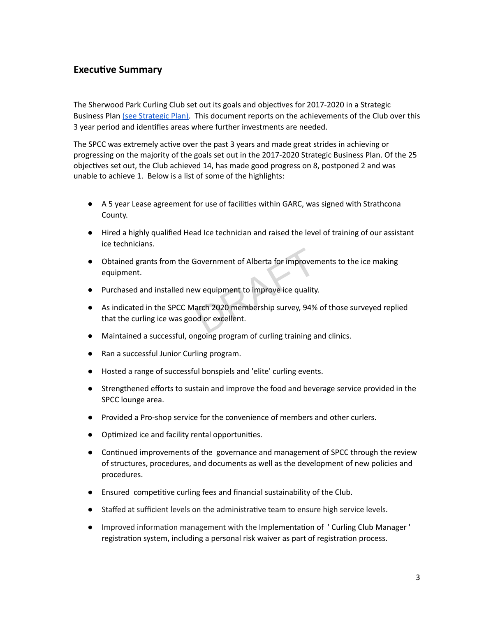## **Executive Summary**

The Sherwood Park Curling Club set out its goals and objectives for 2017-2020 in a Strategic Business Plan (see [Strategic](https://sherwoodparkcurling.com/images/files/club_files/DRAFT-STRATEGIC-BUSINESS-PLAN-V.8_October-18-2017.pdf) Plan). This document reports on the achievements of the Club over this 3 year period and identifies areas where further investments are needed.

The SPCC was extremely active over the past 3 years and made great strides in achieving or progressing on the majority of the goals set out in the 2017-2020 Strategic Business Plan. Of the 25 objectives set out, the Club achieved 14, has made good progress on 8, postponed 2 and was unable to achieve 1. Below is a list of some of the highlights:

- A 5 year Lease agreement for use of facilities within GARC, was signed with Strathcona County.
- Hired a highly qualified Head Ice technician and raised the level of training of our assistant ice technicians.
- Obtained grants from the Government of Alberta for improvements to the ice making equipment.
- Purchased and installed new equipment to improve ice quality.
- As indicated in the SPCC March 2020 membership survey, 94% of those surveyed replied that the curling ice was good or excellent. Government of Alberta for improven<br>w equipment to improve ice quality<br>arch 2020 membership survey, 94%<br>od or excellent.
- Maintained a successful, ongoing program of curling training and clinics.
- Ran a successful Junior Curling program.
- Hosted a range of successful bonspiels and 'elite' curling events.
- Strengthened efforts to sustain and improve the food and beverage service provided in the SPCC lounge area.
- Provided a Pro-shop service for the convenience of members and other curlers.
- Optimized ice and facility rental opportunities.
- Continued improvements of the governance and management of SPCC through the review of structures, procedures, and documents as well as the development of new policies and procedures.
- $\bullet$  Ensured competitive curling fees and financial sustainability of the Club.
- Staffed at sufficient levels on the administrative team to ensure high service levels.
- Improved information management with the Implementation of ' Curling Club Manager ' registration system, including a personal risk waiver as part of registration process.